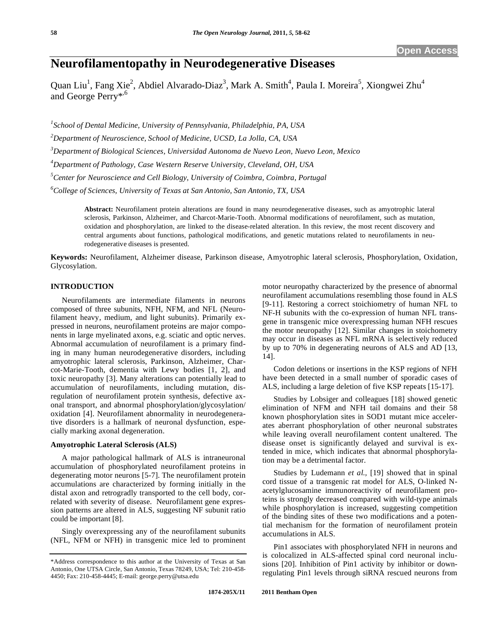# **Neurofilamentopathy in Neurodegenerative Diseases**

Quan Liu<sup>1</sup>, Fang Xie<sup>2</sup>, Abdiel Alvarado-Diaz<sup>3</sup>, Mark A. Smith<sup>4</sup>, Paula I. Moreira<sup>5</sup>, Xiongwei Zhu<sup>4</sup> and George Perry<sup>\*,6</sup>

 *School of Dental Medicine, University of Pennsylvania, Philadelphia, PA, USA Department of Neuroscience, School of Medicine, UCSD, La Jolla, CA, USA Department of Biological Sciences, Universidad Autonoma de Nuevo Leon, Nuevo Leon, Mexico Department of Pathology, Case Western Reserve University, Cleveland, OH, USA Center for Neuroscience and Cell Biology, University of Coimbra, Coimbra, Portugal* 

*6 College of Sciences, University of Texas at San Antonio, San Antonio, TX, USA* 

**Abstract:** Neurofilament protein alterations are found in many neurodegenerative diseases, such as amyotrophic lateral sclerosis, Parkinson, Alzheimer, and Charcot-Marie-Tooth. Abnormal modifications of neurofilament, such as mutation, oxidation and phosphorylation, are linked to the disease-related alteration. In this review, the most recent discovery and central arguments about functions, pathological modifications, and genetic mutations related to neurofilaments in neurodegenerative diseases is presented.

**Keywords:** Neurofilament, Alzheimer disease, Parkinson disease, Amyotrophic lateral sclerosis, Phosphorylation, Oxidation, Glycosylation.

## **INTRODUCTION**

Neurofilaments are intermediate filaments in neurons composed of three subunits, NFH, NFM, and NFL (Neurofilament heavy, medium, and light subunits). Primarily expressed in neurons, neurofilament proteins are major components in large myelinated axons, e.g. sciatic and optic nerves. Abnormal accumulation of neurofilament is a primary finding in many human neurodegenerative disorders, including amyotrophic lateral sclerosis, Parkinson, Alzheimer, Charcot-Marie-Tooth, dementia with Lewy bodies [1, 2], and toxic neuropathy [3]. Many alterations can potentially lead to accumulation of neurofilaments, including mutation, disregulation of neurofilament protein synthesis, defective axonal transport, and abnormal phosphorylation/glycosylation/ oxidation [4]. Neurofilament abnormality in neurodegenerative disorders is a hallmark of neuronal dysfunction, especially marking axonal degeneration.

# **Amyotrophic Lateral Sclerosis (ALS)**

A major pathological hallmark of ALS is intraneuronal accumulation of phosphorylated neurofilament proteins in degenerating motor neurons [5-7]. The neurofilament protein accumulations are characterized by forming initially in the distal axon and retrogradly transported to the cell body, correlated with severity of disease. Neurofilament gene expression patterns are altered in ALS, suggesting NF subunit ratio could be important [8].

Singly overexpressing any of the neurofilament subunits (NFL, NFM or NFH) in transgenic mice led to prominent motor neuropathy characterized by the presence of abnormal neurofilament accumulations resembling those found in ALS [9-11]. Restoring a correct stoichiometry of human NFL to NF-H subunits with the co-expression of human NFL transgene in transgenic mice overexpressing human NFH rescues the motor neuropathy [12]. Similar changes in stoichometry may occur in diseases as NFL mRNA is selectively reduced by up to 70% in degenerating neurons of ALS and AD [13, 14].

Codon deletions or insertions in the KSP regions of NFH have been detected in a small number of sporadic cases of ALS, including a large deletion of five KSP repeats [15-17].

Studies by Lobsiger and colleagues [18] showed genetic elimination of NFM and NFH tail domains and their 58 known phosphorylation sites in SOD1 mutant mice accelerates aberrant phosphorylation of other neuronal substrates while leaving overall neurofilament content unaltered. The disease onset is significantly delayed and survival is extended in mice, which indicates that abnormal phosphorylation may be a detrimental factor.

Studies by Ludemann *et al.,* [19] showed that in spinal cord tissue of a transgenic rat model for ALS, O-linked Nacetylglucosamine immunoreactivity of neurofilament proteins is strongly decreased compared with wild-type animals while phosphorylation is increased, suggesting competition of the binding sites of these two modifications and a potential mechanism for the formation of neurofilament protein accumulations in ALS.

Pin1 associates with phosphorylated NFH in neurons and is colocalized in ALS-affected spinal cord neuronal inclusions [20]. Inhibition of Pin1 activity by inhibitor or downregulating Pin1 levels through siRNA rescued neurons from

<sup>\*</sup>Address correspondence to this author at the University of Texas at San Antonio, One UTSA Circle, San Antonio, Texas 78249, USA; Tel: 210-458- 4450; Fax: 210-458-4445; E-mail: george.perry@utsa.edu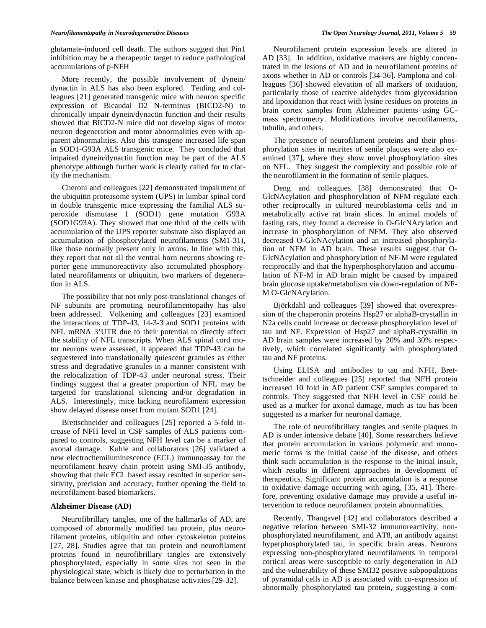glutamate-induced cell death. The authors suggest that Pin1 inhibition may be a therapeutic target to reduce pathological accumulations of p-NFH

More recently, the possible involvement of dynein/ dynactin in ALS has also been explored. Teuling and colleagues [21] generated transgenic mice with neuron specific expression of Bicaudal D2 N-terminus (BICD2-N) to chronically impair dynein/dynactin function and their results showed that BICD2-N mice did not develop signs of motor neuron degeneration and motor abnormalities even with apparent abnormalities. Also this transgene increased life span in SOD1-G93A ALS transgenic mice. They concluded that impaired dynein/dynactin function may be part of the ALS phenotype although further work is clearly called for to clarify the mechanism.

Cheroni and colleagues [22] demonstrated impairment of the ubiquitin proteasome system (UPS) in lumbar spinal cord in double transgenic mice expressing the familial ALS superoxide dismutase 1 (SOD1) gene mutation G93A (SOD1G93A). They showed that one third of the cells with accumulation of the UPS reporter substrate also displayed an accumulation of phosphorylated neurofilaments (SM1-31), like those normally present only in axons. In line with this, they report that not all the ventral horn neurons showing reporter gene immunoreactivity also accumulated phosphorylated neurofilaments or ubiquitin, two markers of degeneration in ALS.

The possibility that not only post-translational changes of NF subunits are promoting neurofilamentopathy has also been addressed. Volkening and colleagues [23] examined the interactions of TDP-43, 14-3-3 and SOD1 proteins with NFL mRNA 3'UTR due to their potential to directly affect the stability of NFL transcripts. When ALS spinal cord motor neurons were assessed, it appeared that TDP-43 can be sequestered into translationally quiescent granules as either stress and degradative granules in a manner consistent with the relocalization of TDP-43 under neuronal stress. Their findings suggest that a greater proportion of NFL may be targeted for translational silencing and/or degradation in ALS. Interestingly, mice lacking neurofilament expression show delayed disease onset from mutant SOD1 [24].

Brettschneider and colleagues [25] reported a 5-fold increase of NFH level in CSF samples of ALS patients compared to controls, suggesting NFH level can be a marker of axonal damage. Kuhle and collaborators [26] validated a new electrochemiluminescence (ECL) immunoassay for the neurofilament heavy chain protein using SMI-35 antibody, showing that their ECL based assay resulted in superior sensitivity, precision and accuracy, further opening the field to neurofilament-based biomarkers.

#### **Alzheimer Disease (AD)**

Neurofibrillary tangles, one of the hallmarks of AD, are composed of abnormally modified tau protein, plus neurofilament proteins, ubiquitin and other cytoskeleton proteins [27, 28]. Studies agree that tau protein and neurofilament proteins found in neurofibrillary tangles are extensively phosphorylated, especially in some sites not seen in the physiological state, which is likely due to perturbation in the balance between kinase and phosphatase activities [29-32].

Neurofilament protein expression levels are altered in AD [33]. In addition, oxidative markers are highly concentrated in the lesions of AD and in neurofilament proteins of axons whether in AD or controls [34-36]. Pamplona and colleagues [36] showed elevation of all markers of oxidation, particularly those of reactive aldehydes from glycoxidation and lipoxidation that react with lysine residues on proteins in brain cortex samples from Alzheimer patients using GCmass spectrometry. Modifications involve neurofilaments, tubulin, and others.

The presence of neurofilament proteins and their phosphorylation sites in neurites of senile plaques were also examined [37], where they show novel phosphorylation sites on NFL. They suggest the complexity and possible role of the neurofilament in the formation of senile plaques.

Deng and colleagues [38] demonstrated that O-GlcNAcylation and phosphorylation of NFM regulate each other reciprocally in cultured neuroblastoma cells and in metabolically active rat brain slices. In animal models of fasting rats, they found a decrease in O-GlcNAcylation and increase in phosphorylation of NFM. They also observed decreased O-GlcNAcylation and an increased phosphorylation of NFM in AD brain. These results suggest that O-GlcNAcylation and phosphorylation of NF-M were regulated reciprocally and that the hyperphosphorylation and accumulation of NF-M in AD brain might be caused by impaired brain glucose uptake/metabolism via down-regulation of NF-M O-GlcNAcylation.

Björkdahl and colleagues [39] showed that overexpression of the chaperonin proteins Hsp27 or alphaB-crystallin in N2a cells could increase or decrease phosphorylation level of tau and NF. Expression of Hsp27 and alphaB-crystallin in AD brain samples were increased by 20% and 30% respectively, which correlated significantly with phosphorylated tau and NF proteins.

Using ELISA and antibodies to tau and NFH, Brettschneider and colleagues [25] reported that NFH protein increased 10 fold in AD patient CSF samples compared to controls. They suggested that NFH level in CSF could be used as a marker for axonal damage, much as tau has been suggested as a marker for neuronal damage.

The role of neurofibrillary tangles and senile plaques in AD is under intensive debate [40]. Some researchers believe that protein accumulation in various polymeric and monomeric forms is the initial cause of the disease, and others think such accumulation is the response to the initial insult, which results in different approaches in development of therapeutics. Significant protein accumulation is a response to oxidative damage occurring with aging, [35, 41]. Therefore, preventing oxidative damage may provide a useful intervention to reduce neurofilament protein abnormalities.

Recently, Thangavel [42] and collaborators described a negative relation between SMI-32 immunoreactivity, nonphosphorylated neurofilament, and AT8, an antibody against hyperphosphorylated tau, in specific brain areas. Neurons expressing non-phosphorylated neurofilaments in temporal cortical areas were susceptible to early degeneration in AD and the vulnerability of these SMI32 positive subpopulations of pyramidal cells in AD is associated with co-expression of abnormally phosphorylated tau protein, suggesting a com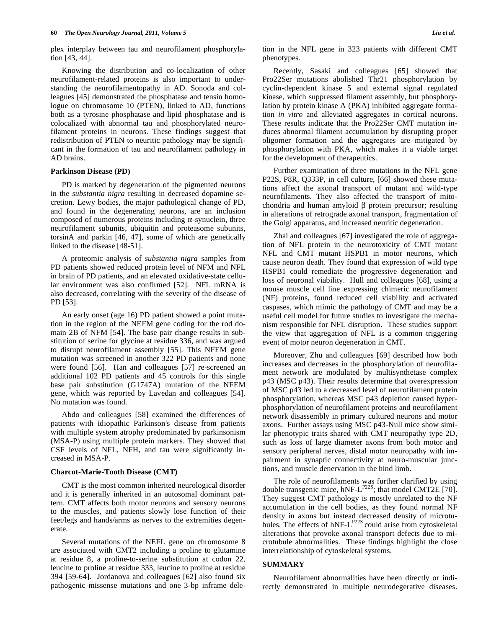plex interplay between tau and neurofilament phosphorylation [43, 44].

Knowing the distribution and co-localization of other neurofilament-related proteins is also important to understanding the neurofilamentopathy in AD. Sonoda and colleagues [45] demonstrated the phosphatase and tensin homologue on chromosome 10 (PTEN), linked to AD, functions both as a tyrosine phosphatase and lipid phosphatase and is colocalized with abnormal tau and phosphorylated neurofilament proteins in neurons. These findings suggest that redistribution of PTEN to neuritic pathology may be significant in the formation of tau and neurofilament pathology in AD brains.

#### **Parkinson Disease (PD)**

PD is marked by degeneration of the pigmented neurons in the *substantia nigra* resulting in decreased dopamine secretion. Lewy bodies, the major pathological change of PD, and found in the degenerating neurons, are an inclusion composed of numerous proteins including  $\alpha$ -synuclein, three neurofilament subunits, ubiquitin and proteasome subunits, torsinA and parkin [46, 47], some of which are genetically linked to the disease [48-51].

A proteomic analysis of *substantia nigra* samples from PD patients showed reduced protein level of NFM and NFL in brain of PD patients, and an elevated oxidative-state cellular environment was also confirmed [52]. NFL mRNA is also decreased, correlating with the severity of the disease of PD [53].

An early onset (age 16) PD patient showed a point mutation in the region of the NEFM gene coding for the rod domain 2B of NFM [54]. The base pair change results in substitution of serine for glycine at residue 336, and was argued to disrupt neurofilament assembly [55]. This NFEM gene mutation was screened in another 322 PD patients and none were found [56]. Han and colleagues [57] re-screened an additional 102 PD patients and 45 controls for this single base pair substitution (G1747A) mutation of the NFEM gene, which was reported by Lavedan and colleagues [54]. No mutation was found.

Abdo and colleagues [58] examined the differences of patients with idiopathic Parkinson's disease from patients with multiple system atrophy predominated by parkinsonism (MSA-P) using multiple protein markers. They showed that CSF levels of NFL, NFH, and tau were significantly increased in MSA-P.

#### **Charcot-Marie-Tooth Disease (CMT)**

CMT is the most common inherited neurological disorder and it is generally inherited in an autosomal dominant pattern. CMT affects both motor neurons and sensory neurons to the muscles, and patients slowly lose function of their feet/legs and hands/arms as nerves to the extremities degenerate.

Several mutations of the NEFL gene on chromosome 8 are associated with CMT2 including a proline to glutamine at residue 8, a proline-to-serine substitution at codon 22, leucine to proline at residue 333, leucine to proline at residue 394 [59-64]. Jordanova and colleagues [62] also found six pathogenic missense mutations and one 3-bp inframe deletion in the NFL gene in 323 patients with different CMT phenotypes.

Recently, Sasaki and colleagues [65] showed that Pro22Ser mutations abolished Thr21 phosphorylation by cyclin-dependent kinase 5 and external signal regulated kinase, which suppressed filament assembly, but phosphorylation by protein kinase A (PKA) inhibited aggregate formation *in vitro* and alleviated aggregates in cortical neurons. These results indicate that the Pro22Ser CMT mutation induces abnormal filament accumulation by disrupting proper oligomer formation and the aggregates are mitigated by phosphorylation with PKA, which makes it a viable target for the development of therapeutics.

Further examination of three mutations in the NFL gene P22S, P8R, Q333P, in cell culture, [66] showed these mutations affect the axonal transport of mutant and wild-type neurofilaments. They also affected the transport of mitochondria and human amyloid  $\beta$  protein precursor; resulting in alterations of retrograde axonal transport, fragmentation of the Golgi apparatus, and increased neuritic degeneration.

Zhai and colleagues [67] investigated the role of aggregation of NFL protein in the neurotoxicity of CMT mutant NFL and CMT mutant HSPB1 in motor neurons, which cause neuron death. They found that expression of wild type HSPB1 could remediate the progressive degeneration and loss of neuronal viability. Hull and colleagues [68], using a mouse muscle cell line expressing chimeric neurofilament (NF) proteins, found reduced cell viability and activated caspases, which mimic the pathology of CMT and may be a useful cell model for future studies to investigate the mechanism responsible for NFL disruption. These studies support the view that aggregation of NFL is a common triggering event of motor neuron degeneration in CMT.

Moreover, Zhu and colleagues [69] described how both increases and decreases in the phosphorylation of neurofilament network are modulated by multisynthetase complex p43 (MSC p43). Their results determine that overexpression of MSC p43 led to a decreased level of neurofilament protein phosphorylation, whereas MSC p43 depletion caused hyperphosphorylation of neurofilament proteins and neurofilament network disassembly in primary cultured neurons and motor axons. Further assays using MSC p43-Null mice show similar phenotypic traits shared with CMT neuropathy type 2D, such as loss of large diameter axons from both motor and sensory peripheral nerves, distal motor neuropathy with impairment in synaptic connectivity at neuro-muscular junctions, and muscle denervation in the hind limb.

The role of neurofilaments was further clarified by using double transgenic mice, hNF-L<sup>P22S</sup>; that model CMT2E [70]. They suggest CMT pathology is mostly unrelated to the NF accumulation in the cell bodies, as they found normal NF density in axons but instead decreased density of microtubules. The effects of hNF-L<sup>P22S</sup> could arise from cytoskeletal alterations that provoke axonal transport defects due to microtubule abnormalities. These findings highlight the close interrelationship of cytoskeletal systems.

#### **SUMMARY**

Neurofilament abnormalities have been directly or indirectly demonstrated in multiple neurodegerative diseases.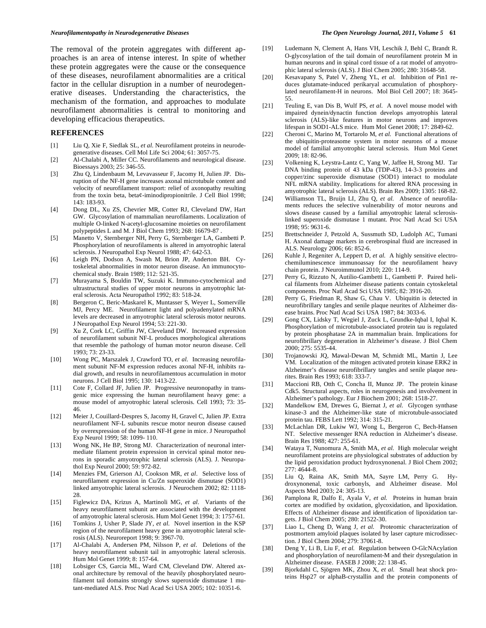The removal of the protein aggregates with different approaches is an area of intense interest. In spite of whether these protein aggregates were the cause or the consequence of these diseases, neurofilament abnormalities are a critical factor in the cellular disruption in a number of neurodegenerative diseases. Understanding the characteristics, the mechanism of the formation, and approaches to modulate neurofilament abnormalities is central to monitoring and developing efficacious therapeutics.

### **REFERENCES**

- [1] Liu Q, Xie F, Siedlak SL, *et al*. Neurofilament proteins in neurodegenerative diseases. Cell Mol Life Sci 2004; 61: 3057-75.
- [2] Al-Chalabi A, Miller CC. Neurofilaments and neurological disease. Bioessays 2003; 25: 346-55.
- [3] Zhu Q, Lindenbaum M, Levavasseur F, Jacomy H, Julien JP. Disruption of the NF-H gene increases axonal microtubule content and velocity of neurofilament transport: relief of axonopathy resulting from the toxin beta, beta¢-iminodipropionitrile. J Cell Biol 1998; 143: 183-93.
- [4] Dong DL, Xu ZS, Chevrier MR, Cotter RJ, Cleveland DW, Hart GW. Glycosylation of mammalian neurofilaments. Localization of multiple O-linked N-acetyl-glucosamine moieties on neurofilament polypeptides L and M. J Biol Chem 1993; 268: 16679-87 .
- [5] Manetto V, Sternberger NH, Perry G, Sternberger LA, Gambetti P. Phosphorylation of neurofilaments is altered in amyotrophic lateral sclerosis. J Neuropathol Exp Neurol 1988; 47: 642-53.
- [6] Leigh PN, Dodson A, Swash M, Brion JP, Anderton BH. Cytoskeletal abnormalities in motor neuron disease. An immunocytochemical study. Brain 1989; 112: 521-35.
- [7] Murayama S, Bouldin TW, Suzuki K. Immuno-cytochemical and ultrastructural studies of upper motor neurons in amyotrophic lateral sclerosis. Acta Neuropathol 1992; 83: 518-24.
- [8] Bergeron C, Beric-Maskarel K, Muntasser S, Weyer L, Somerville MJ, Percy ME. Neurofilament light and polyadenylated mRNA levels are decreased in amyotrophic lateral sclerosis motor neurons. J Neuropathol Exp Neurol 1994; 53: 221-30.
- [9] Xu Z, Cork LC, Griffin JW, Cleveland DW. Increased expression of neurofilament subunit NF-L produces morphological alterations that resemble the pathology of human motor neuron disease. Cell 1993; 73: 23-33.
- [10] Wong PC, Marszalek J, Crawford TO, *et al*. Increasing neurofilament subunit NF-M expression reduces axonal NF-H, inhibits radial growth, and results in neurofilamentous accumulation in motor neurons. J Cell Biol 1995; 130: 1413-22.
- [11] Cote F, Collard JF, Julien JP. Progressive neuronopathy in transgenic mice expressing the human neurofilament heavy gene: a mouse model of amyotrophic lateral sclerosis. Cell 1993; 73: 35- 46.
- [12] Meier J, Couillard-Despres S, Jacomy H, Gravel C, Julien JP. Extra neurofilament NF-L subunits rescue motor neuron disease caused by overexpression of the human NF-H gene in mice. J Neuropathol Exp Neurol 1999; 58: 1099- 110.
- [13] Wong NK, He BP, Strong MJ. Characterization of neuronal intermediate filament protein expression in cervical spinal motor neurons in sporadic amyotrophic lateral sclerosis (ALS). J. Neuropathol Exp Neurol 2000; 59: 972-82.
- [14] Menzies FM, Grierson AJ, Cookson MR, *et al*. Selective loss of neurofilament expression in Cu/Zn superoxide dismutase (SOD1) linked amyotrophic lateral sclerosis. J Neurochem 2002; 82: 1118- 28.
- [15] Figlewicz DA, Krizus A, Martinoli MG, *et al*. Variants of the heavy neurofilament subunit are associated with the development of amyotrophic lateral sclerosis. Hum Mol Genet 1994; 3: 1757-61.
- [16] Tomkins J, Usher P, Slade JY, *et al*. Novel insertion in the KSP region of the neurofilament heavy gene in amyotrophic lateral sclerosis (ALS). Neuroreport 1998; 9: 3967-70.
- [17] Al-Chalabi A, Andersen PM, Nilsson P, *et al*. Deletions of the heavy neurofilament subunit tail in amyotrophic lateral sclerosis. Hum Mol Genet 1999; 8: 157-64.
- [18] Lobsiger CS, Garcia ML, Ward CM, Cleveland DW. Altered axonal architecture by removal of the heavily phosphorylated neurofilament tail domains strongly slows superoxide dismutase 1 mutant-mediated ALS. Proc Natl Acad Sci USA 2005; 102: 10351-6.
- [19] Ludemann N, Clement A, Hans VH, Leschik J, Behl C, Brandt R. O-glycosylation of the tail domain of neurofilament protein M in human neurons and in spinal cord tissue of a rat model of amyotrophic lateral sclerosis (ALS). J Biol Chem 2005; 280: 31648-58.
- [20] Kesavapany S, Patel V, Zheng YL, *et al*. Inhibition of Pin1 reduces glutamate-induced perikaryal accumulation of phosphorylated neurofilament-H in neurons. Mol Biol Cell 2007; 18: 3645- 55.
- [21] Teuling E, van Dis B, Wulf PS, *et al*. A novel mouse model with impaired dynein/dynactin function develops amyotrophis lateral sclerosis (ALS)-like features in motor neurons and improves lifespan in SOD1-ALS mice. Hum Mol Genet 2008; 17: 2849-62.
- [22] Cheroni C, Marino M, Tortarolo M, *et al.* Functional alterations of the ubiquitin-proteasome system in motor neurons of a mouse model of familial amyotrophic lateral sclerosis. Hum Mol Genet 2009; 18: 82-96.
- [23] Volkening K, Leystra-Lantz C, Yang W, Jaffee H, Strong MJ. Tar DNA binding protein of 43 kDa (TDP-43), 14-3-3 proteins and copper/zinc superoxide dismutase (SOD1) interact to modulate NFL mRNA stability. Implications for altered RNA processing in amyotrophic lateral sclerosis (ALS). Brain Res 2009; 1305: 168-82.
- [24] Williamson TL, Bruijn LI, Zhu Q, *et al.* Absence of neurofilaments reduces the selective vulnerability of motor neurons and slows disease caused by a familial amyotrophic lateral sclerosislinked superoxide dismutase 1 mutant. Proc Natl Acad Sci USA 1998; 95: 9631-6.
- [25] Brettschneider J, Petzold A, Sussmuth SD, Ludolph AC, Tumani H. Axonal damage markers in cerebrospinal fluid are increased in ALS. Neurology 2006; 66: 852-6.
- [26] Kuhle J, Regeniter A, Leppert D, *et al.* A highly sensitive electrochemiluminescence immunoassay for the neurofilament heavy chain protein. J Neuroimmunol 2010; 220: 114-9.
- [27] Perry G, Rizzuto N, Autilio-Gambetti L, Gambetti P. Paired helical filaments from Alzheimer disease patients contain cytoskeletal components. Proc Natl Acad Sci USA 1985; 82: 3916-20.
- [28] Perry G, Friedman R, Shaw G, Chau V. Ubiquitin is detected in neurofibrillary tangles and senile plaque neurites of Alzheimer disease brains. Proc Natl Acad Sci USA 1987; 84: 3033-6.
- [29] Gong CX, Lidsky T, Wegiel J, Zuck L, Grundke-Iqbal I, Iqbal K. Phosphorylation of microtubule-associated protein tau is regulated by protein phosphatase 2A in mammalian brain. Implications for neurofibrillary degeneration in Alzheimer's disease. J Biol Chem 2000; 275: 5535-44.
- [30] Trojanowski JQ, Mawal-Dewan M, Schmidt ML, Martin J, Lee VM. Localization of the mitogen activated protein kinase ERK2 in Alzheimer's disease neurofibrillary tangles and senile plaque neurites. Brain Res 1993; 618: 333-7.
- [31] Maccioni RB, Otth C, Concha II, Munoz JP. The protein kinase Cdk5. Structural aspects, roles in neurogenesis and involvement in Alzheimer's pathology. Eur J Biochem 2001; 268: 1518-27.
- [32] Mandelkow EM, Drewes G, Biernat J, *et al*. Glycogen synthase kinase-3 and the Alzheimer-like state of microtubule-associated protein tau. FEBS Lett 1992; 314: 315-21.
- [33] McLachlan DR, Lukiw WJ, Wong L, Bergeron C, Bech-Hansen NT. Selective messenger RNA reduction in Alzheimer's disease. Brain Res 1988; 427: 255-61.
- [34] Wataya T, Nunomura A, Smith MA, *et al.* High molecular weight neurofilament proteins are physiological substrates of adduction by the lipid peroxidation product hydroxynonenal. J Biol Chem 2002; 277: 4644-8.
- [35] Liu Q, Raina AK, Smith MA, Sayre LM, Perry G. Hydroxynonenal, toxic carbonyls, and Alzheimer disease. Mol Aspects Med 2003; 24: 305-13.
- [36] Pamplona R, Dalfo E, Ayala V, *et al.* Proteins in human brain cortex are modified by oxidation, glycoxidation, and lipoxidation. Effects of Alzheimer disease and identification of lipoxidation targets. J Biol Chem 2005; 280: 21522-30.
- [37] Liao L, Cheng D, Wang J, *et al.* Proteomic characterization of postmortem amyloid plaques isolated by laser capture microdissection. J Biol Chem 2004; 279: 37061-8.
- [38] Deng Y, Li B, Liu F, *et al.* Regulation between O-GlcNAcylation and phosphorylation of neurofilament-M and their dysregulation in Alzheimer disease. FASEB J 2008; 22: 138-45.
- [39] Bjorkdahl C, Sjögren MK, Zhou X, *et al.* Small heat shock proteins Hsp27 or alphaB-crystallin and the protein components of